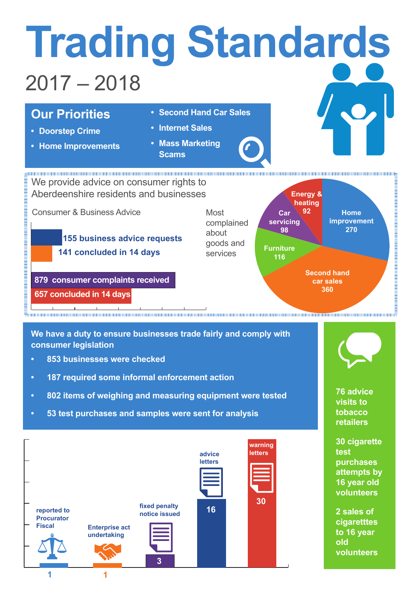

**We have a duty to ensure businesses trade fairly and comply with consumer legislation** 

- **• 853 businesses were checked**
- **• 187 required some informal enforcement action**
- **• 802 items of weighing and measuring equipment were tested**
- **• 53 test purchases and samples were sent for analysis**



**76 advice visits to tobacco** 

**retailers**

**30 cigarette test purchases attempts by 16 year old volunteers**

**2 sales of cigaretttes to 16 year old volunteers**